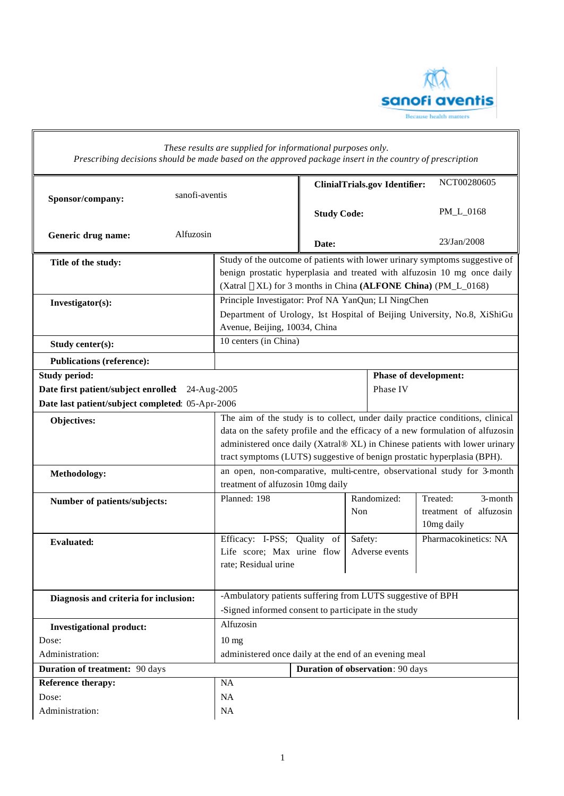

## *These results are supplied for informational purposes only. Prescribing decisions should be made based on the approved package insert in the country of prescription* **ClinialTrials.gov Identifier:** NCT00280605 **Sponsor/company:** sanofi-aventis **Study Code:** PM\_L\_0168 **Generic drug name:** Alfuzosin **Date:** 23/Jan/2008 Title of the study: Study of the outcome of patients with lower urinary symptoms suggestive of benign prostatic hyperplasia and treated with alfuzosin 10 mg once daily (Xatral ®XL) for 3 months in China **(ALFONE China)** (PM L 0168) **Investigator(s):** Principle Investigator: Prof NA YanQun; LI NingChen Department of Urology, 1st Hospital of Beijing University, No.8, XiShiGu Avenue, Beijing, 10034, China **Study center(s):** 10 centers (in China) **Publications (reference): Study period: Date first patient/subject enrolled**: 24-Aug-2005 **Date last patient/subject completed**: 05-Apr-2006 **Phase of development:**  Phase IV **Objectives:** The aim of the study is to collect, under daily practice conditions, clinical data on the safety profile and the efficacy of a new formulation of alfuzosin administered once daily (Xatral® XL) in Chinese patients with lower urinary tract symptoms (LUTS) suggestive of benign prostatic hyperplasia (BPH). Methodology: an open, non-comparative, multi-centre, observational study for 3-month treatment of alfuzosin 10mg daily Number of patients/subjects: **Planned: 198** Randomized: Non Treated: 3-month treatment of alfuzosin 10mg daily **Evaluated:** Efficacy: I-PSS; Quality of Life score; Max urine flow rate; Residual urine Safety: Adverse events Pharmacokinetics: NA **Diagnosis and criteria for inclusion:** <br>**Ambulatory patients suffering from LUTS suggestive of BPH** -Signed informed consent to participate in the study **Investigational product:** Alfuzosin Dose: 10 mg Administration: administered once daily at the end of an evening meal **Duration of treatment:**  $90 \text{ days}$  **Duration of observation**:  $90 \text{ days}$ **Reference therapy:** NA Dose: NA Administration: NA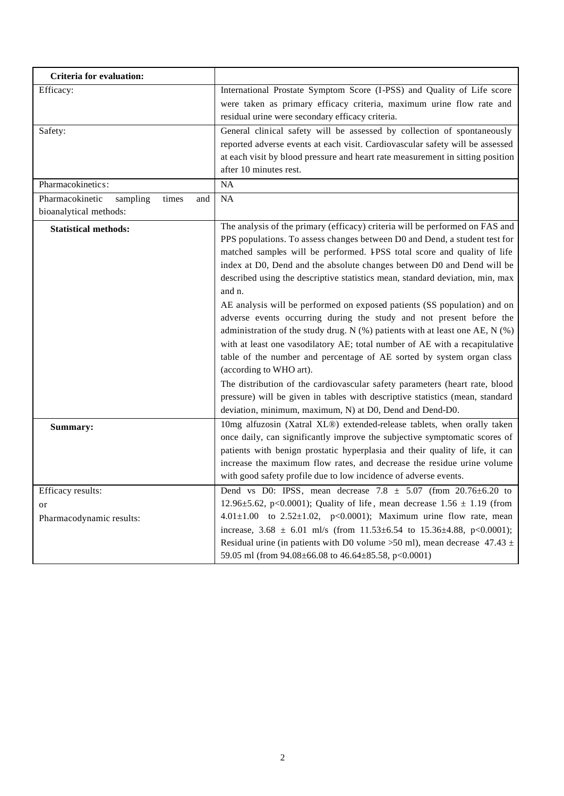| <b>Criteria for evaluation:</b>                                       |                                                                                                                                                                                                                                                                                                                                                                                                                                                                                                                                                                                                                                                                                                                                                                                                                                                                                                                                                                                                                                                               |  |  |  |  |
|-----------------------------------------------------------------------|---------------------------------------------------------------------------------------------------------------------------------------------------------------------------------------------------------------------------------------------------------------------------------------------------------------------------------------------------------------------------------------------------------------------------------------------------------------------------------------------------------------------------------------------------------------------------------------------------------------------------------------------------------------------------------------------------------------------------------------------------------------------------------------------------------------------------------------------------------------------------------------------------------------------------------------------------------------------------------------------------------------------------------------------------------------|--|--|--|--|
| Efficacy:                                                             | International Prostate Symptom Score (I-PSS) and Quality of Life score<br>were taken as primary efficacy criteria, maximum urine flow rate and<br>residual urine were secondary efficacy criteria.                                                                                                                                                                                                                                                                                                                                                                                                                                                                                                                                                                                                                                                                                                                                                                                                                                                            |  |  |  |  |
| Safety:                                                               | General clinical safety will be assessed by collection of spontaneously<br>reported adverse events at each visit. Cardiovascular safety will be assessed<br>at each visit by blood pressure and heart rate measurement in sitting position<br>after 10 minutes rest.                                                                                                                                                                                                                                                                                                                                                                                                                                                                                                                                                                                                                                                                                                                                                                                          |  |  |  |  |
| Pharmacokinetics:                                                     | NA                                                                                                                                                                                                                                                                                                                                                                                                                                                                                                                                                                                                                                                                                                                                                                                                                                                                                                                                                                                                                                                            |  |  |  |  |
| Pharmacokinetic<br>sampling<br>times<br>and<br>bioanalytical methods: | NA                                                                                                                                                                                                                                                                                                                                                                                                                                                                                                                                                                                                                                                                                                                                                                                                                                                                                                                                                                                                                                                            |  |  |  |  |
| <b>Statistical methods:</b>                                           | The analysis of the primary (efficacy) criteria will be performed on FAS and<br>PPS populations. To assess changes between D0 and Dend, a student test for<br>matched samples will be performed. IPSS total score and quality of life<br>index at D0, Dend and the absolute changes between D0 and Dend will be<br>described using the descriptive statistics mean, standard deviation, min, max<br>and n.<br>AE analysis will be performed on exposed patients (SS population) and on<br>adverse events occurring during the study and not present before the<br>administration of the study drug. N (%) patients with at least one AE, N (%)<br>with at least one vasodilatory AE; total number of AE with a recapitulative<br>table of the number and percentage of AE sorted by system organ class<br>(according to WHO art).<br>The distribution of the cardiovascular safety parameters (heart rate, blood<br>pressure) will be given in tables with descriptive statistics (mean, standard<br>deviation, minimum, maximum, N) at D0, Dend and Dend-D0. |  |  |  |  |
| Summary:                                                              | 10mg alfuzosin (Xatral XL®) extended-release tablets, when orally taken<br>once daily, can significantly improve the subjective symptomatic scores of<br>patients with benign prostatic hyperplasia and their quality of life, it can<br>increase the maximum flow rates, and decrease the residue urine volume<br>with good safety profile due to low incidence of adverse events.                                                                                                                                                                                                                                                                                                                                                                                                                                                                                                                                                                                                                                                                           |  |  |  |  |
| Efficacy results:<br>or<br>Pharmacodynamic results:                   | Dend vs D0: IPSS, mean decrease $7.8 \pm 5.07$ (from $20.76 \pm 6.20$ to<br>12.96±5.62, p<0.0001); Quality of life, mean decrease $1.56 \pm 1.19$ (from<br>4.01±1.00 to 2.52±1.02, p<0.0001); Maximum urine flow rate, mean<br>increase, $3.68 \pm 6.01$ ml/s (from $11.53\pm 6.54$ to $15.36\pm 4.88$ , p<0.0001);<br>Residual urine (in patients with D0 volume >50 ml), mean decrease $47.43 \pm$<br>59.05 ml (from 94.08±66.08 to 46.64±85.58, p<0.0001)                                                                                                                                                                                                                                                                                                                                                                                                                                                                                                                                                                                                  |  |  |  |  |